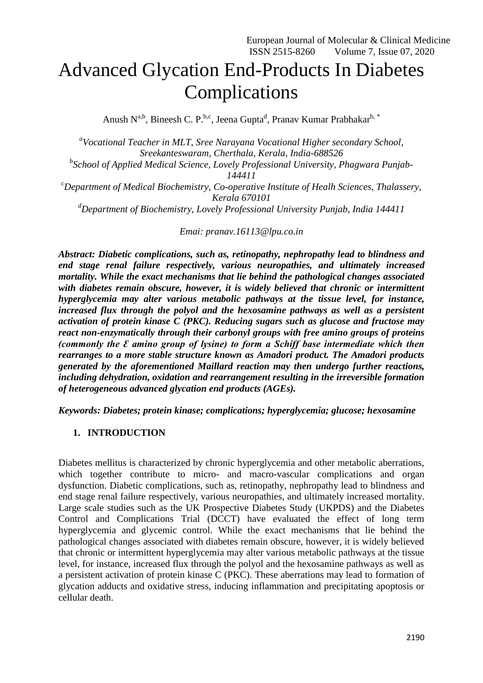# Advanced Glycation End-Products In Diabetes Complications

Anush N<sup>a,b</sup>, Bineesh C. P.<sup>b,c</sup>, Jeena Gupta<sup>d</sup>, Pranav Kumar Prabhakar<sup>b,\*</sup>

*a Vocational Teacher in MLT, Sree Narayana Vocational Higher secondary School, Sreekanteswaram, Cherthala, Kerala, India-688526 b School of Applied Medical Science, Lovely Professional University, Phagwara Punjab-144411 <sup>c</sup>Department of Medical Biochemistry, Co-operative Institute of Healh Sciences, Thalassery, Kerala 670101 <sup>d</sup>Department of Biochemistry, Lovely Professional University Punjab, India 144411*

*Emai: [pranav.16113@lpu.co.in](mailto:pranav.16113@lpu.co.in)*

*Abstract: Diabetic complications, such as, retinopathy, nephropathy lead to blindness and end stage renal failure respectively, various neuropathies, and ultimately increased mortality. While the exact mechanisms that lie behind the pathological changes associated with diabetes remain obscure, however, it is widely believed that chronic or intermittent hyperglycemia may alter various metabolic pathways at the tissue level, for instance, increased flux through the polyol and the hexosamine pathways as well as a persistent activation of protein kinase C (PKC). Reducing sugars such as glucose and fructose may react non-enzymatically through their carbonyl groups with free amino groups of proteins (commonly the Ɛ amino group of lysine) to form a Schiff base intermediate which then rearranges to a more stable structure known as Amadori product. The Amadori products generated by the aforementioned Maillard reaction may then undergo further reactions, including dehydration, oxidation and rearrangement resulting in the irreversible formation of heterogeneous advanced glycation end products (AGEs).*

*Keywords: Diabetes; protein kinase; complications; hyperglycemia; glucose; hexosamine*

# **1. INTRODUCTION**

Diabetes mellitus is characterized by chronic hyperglycemia and other metabolic aberrations, which together contribute to micro- and macro-vascular complications and organ dysfunction. Diabetic complications, such as, retinopathy, nephropathy lead to blindness and end stage renal failure respectively, various neuropathies, and ultimately increased mortality. Large scale studies such as the UK Prospective Diabetes Study (UKPDS) and the Diabetes Control and Complications Trial (DCCT) have evaluated the effect of long term hyperglycemia and glycemic control. While the exact mechanisms that lie behind the pathological changes associated with diabetes remain obscure, however, it is widely believed that chronic or intermittent hyperglycemia may alter various metabolic pathways at the tissue level, for instance, increased flux through the polyol and the hexosamine pathways as well as a persistent activation of protein kinase C (PKC). These aberrations may lead to formation of glycation adducts and oxidative stress, inducing inflammation and precipitating apoptosis or cellular death.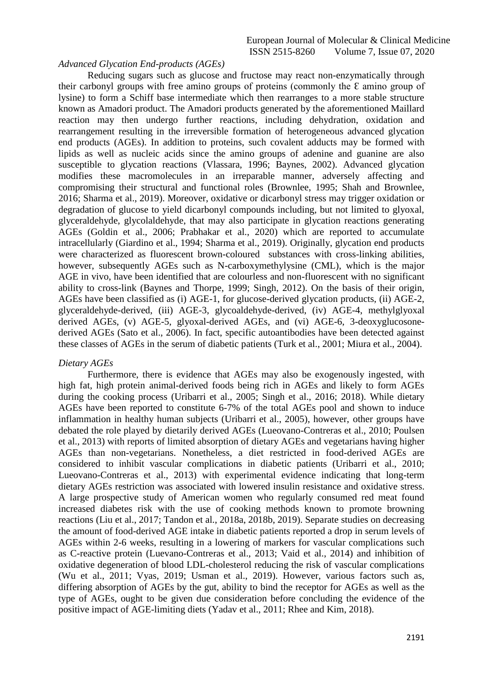## *Advanced Glycation End-products (AGEs)*

Reducing sugars such as glucose and fructose may react non-enzymatically through their carbonyl groups with free amino groups of proteins (commonly the  $\epsilon$  amino group of lysine) to form a Schiff base intermediate which then rearranges to a more stable structure known as Amadori product. The Amadori products generated by the aforementioned Maillard reaction may then undergo further reactions, including dehydration, oxidation and rearrangement resulting in the irreversible formation of heterogeneous advanced glycation end products (AGEs). In addition to proteins, such covalent adducts may be formed with lipids as well as nucleic acids since the amino groups of adenine and guanine are also susceptible to glycation reactions (Vlassara, 1996; Baynes, 2002). Advanced glycation modifies these macromolecules in an irreparable manner, adversely affecting and compromising their structural and functional roles (Brownlee, 1995; Shah and Brownlee, 2016; Sharma et al., 2019). Moreover, oxidative or dicarbonyl stress may trigger oxidation or degradation of glucose to yield dicarbonyl compounds including, but not limited to glyoxal, glyceraldehyde, glycolaldehyde, that may also participate in glycation reactions generating AGEs (Goldin et al., 2006; Prabhakar et al., 2020) which are reported to accumulate intracellularly (Giardino et al., 1994; Sharma et al., 2019). Originally, glycation end products were characterized as fluorescent brown-coloured substances with cross-linking abilities, however, subsequently AGEs such as N-carboxymethylysine (CML), which is the major AGE in vivo, have been identified that are colourless and non-fluorescent with no significant ability to cross-link (Baynes and Thorpe, 1999; Singh, 2012). On the basis of their origin, AGEs have been classified as (i) AGE-1, for glucose-derived glycation products, (ii) AGE-2, glyceraldehyde-derived, (iii) AGE-3, glycoaldehyde-derived, (iv) AGE-4, methylglyoxal derived AGEs, (v) AGE-5, glyoxal-derived AGEs, and (vi) AGE-6, 3-deoxyglucosonederived AGEs (Sato et al., 2006). In fact, specific autoantibodies have been detected against these classes of AGEs in the serum of diabetic patients (Turk et al., 2001; Miura et al., 2004).

# *Dietary AGEs*

Furthermore, there is evidence that AGEs may also be exogenously ingested, with high fat, high protein animal-derived foods being rich in AGEs and likely to form AGEs during the cooking process (Uribarri et al., 2005; Singh et al., 2016; 2018). While dietary AGEs have been reported to constitute 6-7% of the total AGEs pool and shown to induce inflammation in healthy human subjects (Uribarri et al., 2005), however, other groups have debated the role played by dietarily derived AGEs (Lueovano-Contreras et al., 2010; Poulsen et al., 2013) with reports of limited absorption of dietary AGEs and vegetarians having higher AGEs than non-vegetarians. Nonetheless, a diet restricted in food-derived AGEs are considered to inhibit vascular complications in diabetic patients (Uribarri et al., 2010; Lueovano-Contreras et al., 2013) with experimental evidence indicating that long-term dietary AGEs restriction was associated with lowered insulin resistance and oxidative stress. A large prospective study of American women who regularly consumed red meat found increased diabetes risk with the use of cooking methods known to promote browning reactions (Liu et al., 2017; Tandon et al., 2018a, 2018b, 2019). Separate studies on decreasing the amount of food-derived AGE intake in diabetic patients reported a drop in serum levels of AGEs within 2-6 weeks, resulting in a lowering of markers for vascular complications such as C-reactive protein (Luevano-Contreras et al., 2013; Vaid et al., 2014) and inhibition of oxidative degeneration of blood LDL-cholesterol reducing the risk of vascular complications (Wu et al., 2011; Vyas, 2019; Usman et al., 2019). However, various factors such as, differing absorption of AGEs by the gut, ability to bind the receptor for AGEs as well as the type of AGEs, ought to be given due consideration before concluding the evidence of the positive impact of AGE-limiting diets (Yadav et al., 2011; Rhee and Kim, 2018).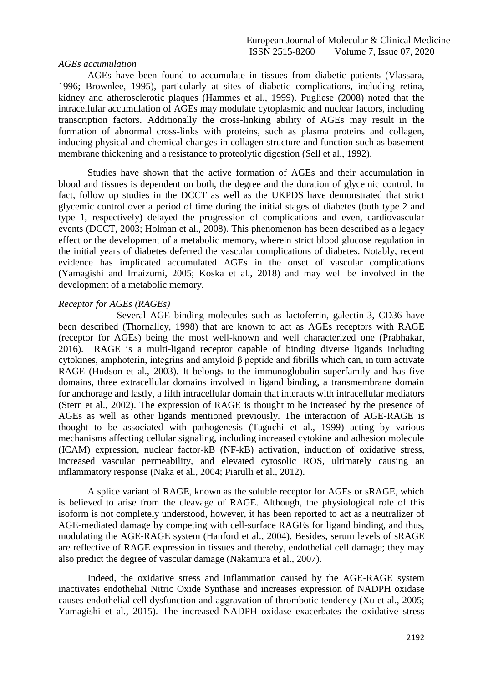## *AGEs accumulation*

AGEs have been found to accumulate in tissues from diabetic patients (Vlassara, 1996; Brownlee, 1995), particularly at sites of diabetic complications, including retina, kidney and atherosclerotic plaques (Hammes et al., 1999). Pugliese (2008) noted that the intracellular accumulation of AGEs may modulate cytoplasmic and nuclear factors, including transcription factors. Additionally the cross-linking ability of AGEs may result in the formation of abnormal cross-links with proteins, such as plasma proteins and collagen, inducing physical and chemical changes in collagen structure and function such as basement membrane thickening and a resistance to proteolytic digestion (Sell et al., 1992).

Studies have shown that the active formation of AGEs and their accumulation in blood and tissues is dependent on both, the degree and the duration of glycemic control. In fact, follow up studies in the DCCT as well as the UKPDS have demonstrated that strict glycemic control over a period of time during the initial stages of diabetes (both type 2 and type 1, respectively) delayed the progression of complications and even, cardiovascular events (DCCT, 2003; Holman et al., 2008). This phenomenon has been described as a legacy effect or the development of a metabolic memory, wherein strict blood glucose regulation in the initial years of diabetes deferred the vascular complications of diabetes. Notably, recent evidence has implicated accumulated AGEs in the onset of vascular complications (Yamagishi and Imaizumi, 2005; Koska et al., 2018) and may well be involved in the development of a metabolic memory.

## *Receptor for AGEs (RAGEs)*

Several AGE binding molecules such as lactoferrin, galectin-3, CD36 have been described (Thornalley, 1998) that are known to act as AGEs receptors with RAGE (receptor for AGEs) being the most well-known and well characterized one (Prabhakar, 2016). RAGE is a multi-ligand receptor capable of binding diverse ligands including cytokines, amphoterin, integrins and amyloid β peptide and fibrills which can, in turn activate RAGE (Hudson et al., 2003). It belongs to the immunoglobulin superfamily and has five domains, three extracellular domains involved in ligand binding, a transmembrane domain for anchorage and lastly, a fifth intracellular domain that interacts with intracellular mediators (Stern et al., 2002). The expression of RAGE is thought to be increased by the presence of AGEs as well as other ligands mentioned previously. The interaction of AGE-RAGE is thought to be associated with pathogenesis (Taguchi et al., 1999) acting by various mechanisms affecting cellular signaling, including increased cytokine and adhesion molecule (ICAM) expression, nuclear factor-kB (NF-kB) activation, induction of oxidative stress, increased vascular permeability, and elevated cytosolic ROS, ultimately causing an inflammatory response (Naka et al., 2004; Piarulli et al., 2012).

A splice variant of RAGE, known as the soluble receptor for AGEs or sRAGE, which is believed to arise from the cleavage of RAGE. Although, the physiological role of this isoform is not completely understood, however, it has been reported to act as a neutralizer of AGE-mediated damage by competing with cell-surface RAGEs for ligand binding, and thus, modulating the AGE-RAGE system (Hanford et al., 2004). Besides, serum levels of sRAGE are reflective of RAGE expression in tissues and thereby, endothelial cell damage; they may also predict the degree of vascular damage (Nakamura et al., 2007).

Indeed, the oxidative stress and inflammation caused by the AGE-RAGE system inactivates endothelial Nitric Oxide Synthase and increases expression of NADPH oxidase causes endothelial cell dysfunction and aggravation of thrombotic tendency (Xu et al., 2005; Yamagishi et al., 2015). The increased NADPH oxidase exacerbates the oxidative stress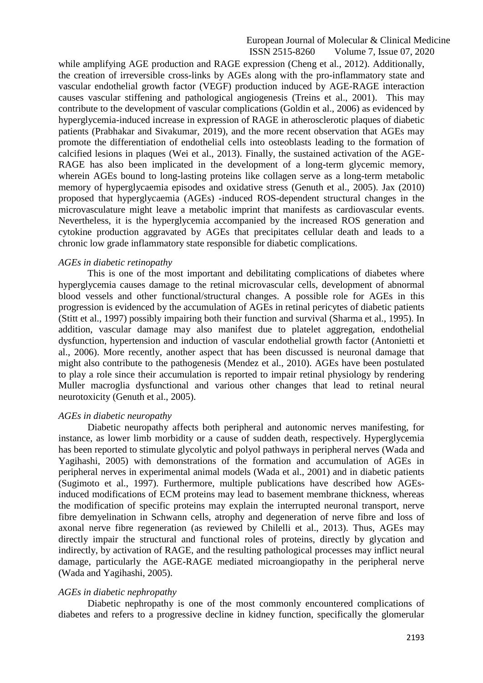while amplifying AGE production and RAGE expression (Cheng et al., 2012). Additionally, the creation of irreversible cross-links by AGEs along with the pro-inflammatory state and vascular endothelial growth factor (VEGF) production induced by AGE-RAGE interaction causes vascular stiffening and pathological angiogenesis (Treins et al., 2001). This may contribute to the development of vascular complications (Goldin et al., 2006) as evidenced by hyperglycemia-induced increase in expression of RAGE in atherosclerotic plaques of diabetic patients (Prabhakar and Sivakumar, 2019), and the more recent observation that AGEs may promote the differentiation of endothelial cells into osteoblasts leading to the formation of calcified lesions in plaques (Wei et al., 2013). Finally, the sustained activation of the AGE-RAGE has also been implicated in the development of a long-term glycemic memory, wherein AGEs bound to long-lasting proteins like collagen serve as a long-term metabolic memory of hyperglycaemia episodes and oxidative stress (Genuth et al., 2005). Jax (2010) proposed that hyperglycaemia (AGEs) -induced ROS-dependent structural changes in the microvasculature might leave a metabolic imprint that manifests as cardiovascular events. Nevertheless, it is the hyperglycemia accompanied by the increased ROS generation and cytokine production aggravated by AGEs that precipitates cellular death and leads to a chronic low grade inflammatory state responsible for diabetic complications.

## *AGEs in diabetic retinopathy*

This is one of the most important and debilitating complications of diabetes where hyperglycemia causes damage to the retinal microvascular cells, development of abnormal blood vessels and other functional/structural changes. A possible role for AGEs in this progression is evidenced by the accumulation of AGEs in retinal pericytes of diabetic patients (Stitt et al., 1997) possibly impairing both their function and survival (Sharma et al., 1995). In addition, vascular damage may also manifest due to platelet aggregation, endothelial dysfunction, hypertension and induction of vascular endothelial growth factor (Antonietti et al., 2006). More recently, another aspect that has been discussed is neuronal damage that might also contribute to the pathogenesis (Mendez et al., 2010). AGEs have been postulated to play a role since their accumulation is reported to impair retinal physiology by rendering Muller macroglia dysfunctional and various other changes that lead to retinal neural neurotoxicity (Genuth et al., 2005).

## *AGEs in diabetic neuropathy*

Diabetic neuropathy affects both peripheral and autonomic nerves manifesting, for instance, as lower limb morbidity or a cause of sudden death, respectively. Hyperglycemia has been reported to stimulate glycolytic and polyol pathways in peripheral nerves (Wada and Yagihashi, 2005) with demonstrations of the formation and accumulation of AGEs in peripheral nerves in experimental animal models (Wada et al., 2001) and in diabetic patients (Sugimoto et al., 1997). Furthermore, multiple publications have described how AGEsinduced modifications of ECM proteins may lead to basement membrane thickness, whereas the modification of specific proteins may explain the interrupted neuronal transport, nerve fibre demyelination in Schwann cells, atrophy and degeneration of nerve fibre and loss of axonal nerve fibre regeneration (as reviewed by Chilelli et al., 2013). Thus, AGEs may directly impair the structural and functional roles of proteins, directly by glycation and indirectly, by activation of RAGE, and the resulting pathological processes may inflict neural damage, particularly the AGE-RAGE mediated microangiopathy in the peripheral nerve (Wada and Yagihashi, 2005).

# *AGEs in diabetic nephropathy*

Diabetic nephropathy is one of the most commonly encountered complications of diabetes and refers to a progressive decline in kidney function, specifically the glomerular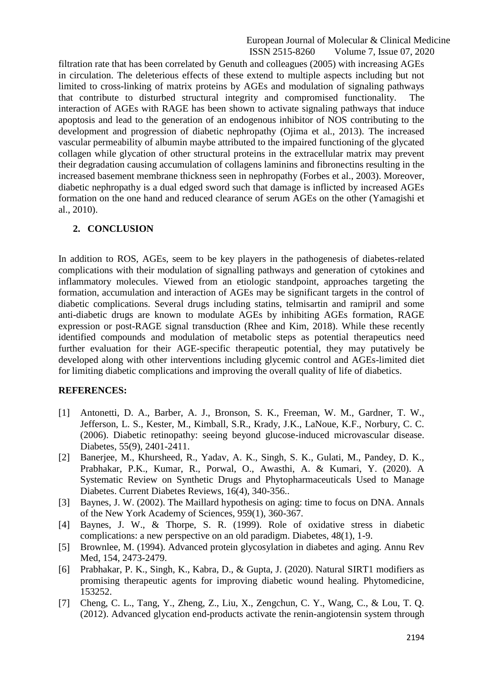filtration rate that has been correlated by Genuth and colleagues (2005) with increasing AGEs in circulation. The deleterious effects of these extend to multiple aspects including but not limited to cross-linking of matrix proteins by AGEs and modulation of signaling pathways that contribute to disturbed structural integrity and compromised functionality. The interaction of AGEs with RAGE has been shown to activate signaling pathways that induce apoptosis and lead to the generation of an endogenous inhibitor of NOS contributing to the development and progression of diabetic nephropathy (Ojima et al., 2013). The increased vascular permeability of albumin maybe attributed to the impaired functioning of the glycated collagen while glycation of other structural proteins in the extracellular matrix may prevent their degradation causing accumulation of collagens laminins and fibronectins resulting in the increased basement membrane thickness seen in nephropathy (Forbes et al., 2003). Moreover, diabetic nephropathy is a dual edged sword such that damage is inflicted by increased AGEs formation on the one hand and reduced clearance of serum AGEs on the other (Yamagishi et al., 2010).

# **2. CONCLUSION**

In addition to ROS, AGEs, seem to be key players in the pathogenesis of diabetes-related complications with their modulation of signalling pathways and generation of cytokines and inflammatory molecules. Viewed from an etiologic standpoint, approaches targeting the formation, accumulation and interaction of AGEs may be significant targets in the control of diabetic complications. Several drugs including statins, telmisartin and ramipril and some anti-diabetic drugs are known to modulate AGEs by inhibiting AGEs formation, RAGE expression or post-RAGE signal transduction (Rhee and Kim, 2018). While these recently identified compounds and modulation of metabolic steps as potential therapeutics need further evaluation for their AGE-specific therapeutic potential, they may putatively be developed along with other interventions including glycemic control and AGEs-limited diet for limiting diabetic complications and improving the overall quality of life of diabetics.

# **REFERENCES:**

- [1] Antonetti, D. A., Barber, A. J., Bronson, S. K., Freeman, W. M., Gardner, T. W., Jefferson, L. S., Kester, M., Kimball, S.R., Krady, J.K., LaNoue, K.F., Norbury, C. C. (2006). Diabetic retinopathy: seeing beyond glucose-induced microvascular disease. Diabetes, 55(9), 2401-2411.
- [2] Banerjee, M., Khursheed, R., Yadav, A. K., Singh, S. K., Gulati, M., Pandey, D. K., Prabhakar, P.K., Kumar, R., Porwal, O., Awasthi, A. & Kumari, Y. (2020). A Systematic Review on Synthetic Drugs and Phytopharmaceuticals Used to Manage Diabetes. Current Diabetes Reviews, 16(4), 340-356..
- [3] Baynes, J. W. (2002). The Maillard hypothesis on aging: time to focus on DNA. Annals of the New York Academy of Sciences, 959(1), 360-367.
- [4] Baynes, J. W., & Thorpe, S. R. (1999). Role of oxidative stress in diabetic complications: a new perspective on an old paradigm. Diabetes, 48(1), 1-9.
- [5] Brownlee, M. (1994). Advanced protein glycosylation in diabetes and aging. Annu Rev Med, 154, 2473-2479.
- [6] Prabhakar, P. K., Singh, K., Kabra, D., & Gupta, J. (2020). Natural SIRT1 modifiers as promising therapeutic agents for improving diabetic wound healing. Phytomedicine, 153252.
- [7] Cheng, C. L., Tang, Y., Zheng, Z., Liu, X., Zengchun, C. Y., Wang, C., & Lou, T. Q. (2012). Advanced glycation end-products activate the renin-angiotensin system through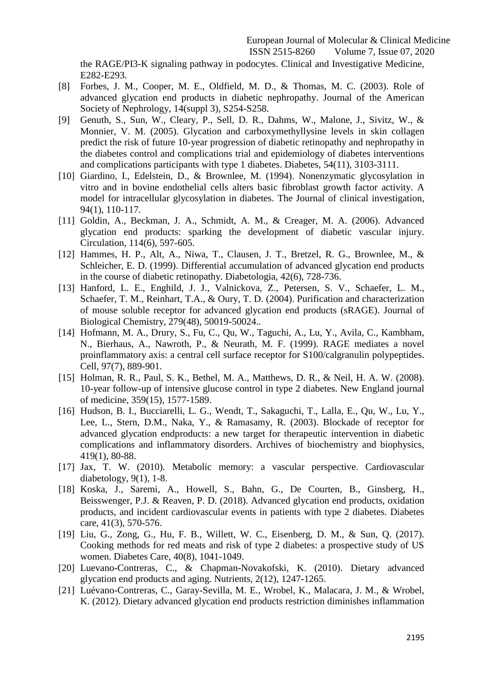the RAGE/PI3-K signaling pathway in podocytes. Clinical and Investigative Medicine, E282-E293.

- [8] Forbes, J. M., Cooper, M. E., Oldfield, M. D., & Thomas, M. C. (2003). Role of advanced glycation end products in diabetic nephropathy. Journal of the American Society of Nephrology, 14(suppl 3), S254-S258.
- [9] Genuth, S., Sun, W., Cleary, P., Sell, D. R., Dahms, W., Malone, J., Sivitz, W., & Monnier, V. M. (2005). Glycation and carboxymethyllysine levels in skin collagen predict the risk of future 10-year progression of diabetic retinopathy and nephropathy in the diabetes control and complications trial and epidemiology of diabetes interventions and complications participants with type 1 diabetes. Diabetes, 54(11), 3103-3111.
- [10] Giardino, I., Edelstein, D., & Brownlee, M. (1994). Nonenzymatic glycosylation in vitro and in bovine endothelial cells alters basic fibroblast growth factor activity. A model for intracellular glycosylation in diabetes. The Journal of clinical investigation, 94(1), 110-117.
- [11] Goldin, A., Beckman, J. A., Schmidt, A. M., & Creager, M. A. (2006). Advanced glycation end products: sparking the development of diabetic vascular injury. Circulation, 114(6), 597-605.
- [12] Hammes, H. P., Alt, A., Niwa, T., Clausen, J. T., Bretzel, R. G., Brownlee, M., & Schleicher, E. D. (1999). Differential accumulation of advanced glycation end products in the course of diabetic retinopathy. Diabetologia, 42(6), 728-736.
- [13] Hanford, L. E., Enghild, J. J., Valnickova, Z., Petersen, S. V., Schaefer, L. M., Schaefer, T. M., Reinhart, T.A., & Oury, T. D. (2004). Purification and characterization of mouse soluble receptor for advanced glycation end products (sRAGE). Journal of Biological Chemistry, 279(48), 50019-50024..
- [14] Hofmann, M. A., Drury, S., Fu, C., Qu, W., Taguchi, A., Lu, Y., Avila, C., Kambham, N., Bierhaus, A., Nawroth, P., & Neurath, M. F. (1999). RAGE mediates a novel proinflammatory axis: a central cell surface receptor for S100/calgranulin polypeptides. Cell, 97(7), 889-901.
- [15] Holman, R. R., Paul, S. K., Bethel, M. A., Matthews, D. R., & Neil, H. A. W. (2008). 10-year follow-up of intensive glucose control in type 2 diabetes. New England journal of medicine, 359(15), 1577-1589.
- [16] Hudson, B. I., Bucciarelli, L. G., Wendt, T., Sakaguchi, T., Lalla, E., Qu, W., Lu, Y., Lee, L., Stern, D.M., Naka, Y., & Ramasamy, R. (2003). Blockade of receptor for advanced glycation endproducts: a new target for therapeutic intervention in diabetic complications and inflammatory disorders. Archives of biochemistry and biophysics, 419(1), 80-88.
- [17] Jax, T. W. (2010). Metabolic memory: a vascular perspective. Cardiovascular diabetology,  $9(1)$ , 1-8.
- [18] Koska, J., Saremi, A., Howell, S., Bahn, G., De Courten, B., Ginsberg, H., Beisswenger, P.J. & Reaven, P. D. (2018). Advanced glycation end products, oxidation products, and incident cardiovascular events in patients with type 2 diabetes. Diabetes care, 41(3), 570-576.
- [19] Liu, G., Zong, G., Hu, F. B., Willett, W. C., Eisenberg, D. M., & Sun, Q. (2017). Cooking methods for red meats and risk of type 2 diabetes: a prospective study of US women. Diabetes Care, 40(8), 1041-1049.
- [20] Luevano-Contreras, C., & Chapman-Novakofski, K. (2010). Dietary advanced glycation end products and aging. Nutrients, 2(12), 1247-1265.
- [21] Luévano-Contreras, C., Garay-Sevilla, M. E., Wrobel, K., Malacara, J. M., & Wrobel, K. (2012). Dietary advanced glycation end products restriction diminishes inflammation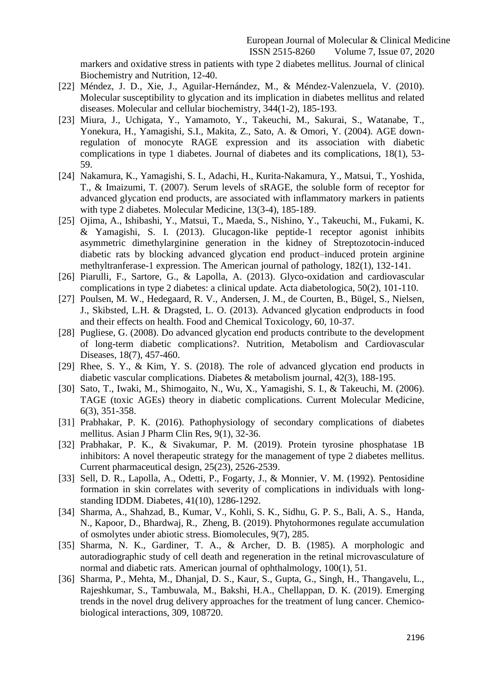markers and oxidative stress in patients with type 2 diabetes mellitus. Journal of clinical Biochemistry and Nutrition, 12-40.

- [22] Méndez, J. D., Xie, J., Aguilar-Hernández, M., & Méndez-Valenzuela, V. (2010). Molecular susceptibility to glycation and its implication in diabetes mellitus and related diseases. Molecular and cellular biochemistry, 344(1-2), 185-193.
- [23] Miura, J., Uchigata, Y., Yamamoto, Y., Takeuchi, M., Sakurai, S., Watanabe, T., Yonekura, H., Yamagishi, S.I., Makita, Z., Sato, A. & Omori, Y. (2004). AGE downregulation of monocyte RAGE expression and its association with diabetic complications in type 1 diabetes. Journal of diabetes and its complications, 18(1), 53- 59.
- [24] Nakamura, K., Yamagishi, S. I., Adachi, H., Kurita-Nakamura, Y., Matsui, T., Yoshida, T., & Imaizumi, T. (2007). Serum levels of sRAGE, the soluble form of receptor for advanced glycation end products, are associated with inflammatory markers in patients with type 2 diabetes. Molecular Medicine, 13(3-4), 185-189.
- [25] Ojima, A., Ishibashi, Y., Matsui, T., Maeda, S., Nishino, Y., Takeuchi, M., Fukami, K. & Yamagishi, S. I. (2013). Glucagon-like peptide-1 receptor agonist inhibits asymmetric dimethylarginine generation in the kidney of Streptozotocin-induced diabetic rats by blocking advanced glycation end product–induced protein arginine methyltranferase-1 expression. The American journal of pathology, 182(1), 132-141.
- [26] Piarulli, F., Sartore, G., & Lapolla, A. (2013). Glyco-oxidation and cardiovascular complications in type 2 diabetes: a clinical update. Acta diabetologica, 50(2), 101-110.
- [27] Poulsen, M. W., Hedegaard, R. V., Andersen, J. M., de Courten, B., Bügel, S., Nielsen, J., Skibsted, L.H. & Dragsted, L. O. (2013). Advanced glycation endproducts in food and their effects on health. Food and Chemical Toxicology, 60, 10-37.
- [28] Pugliese, G. (2008). Do advanced glycation end products contribute to the development of long-term diabetic complications?. Nutrition, Metabolism and Cardiovascular Diseases, 18(7), 457-460.
- [29] Rhee, S. Y., & Kim, Y. S. (2018). The role of advanced glycation end products in diabetic vascular complications. Diabetes & metabolism journal, 42(3), 188-195.
- [30] Sato, T., Iwaki, M., Shimogaito, N., Wu, X., Yamagishi, S. I., & Takeuchi, M. (2006). TAGE (toxic AGEs) theory in diabetic complications. Current Molecular Medicine, 6(3), 351-358.
- [31] Prabhakar, P. K. (2016). Pathophysiology of secondary complications of diabetes mellitus. Asian J Pharm Clin Res, 9(1), 32-36.
- [32] Prabhakar, P. K., & Sivakumar, P. M. (2019). Protein tyrosine phosphatase 1B inhibitors: A novel therapeutic strategy for the management of type 2 diabetes mellitus. Current pharmaceutical design, 25(23), 2526-2539.
- [33] Sell, D. R., Lapolla, A., Odetti, P., Fogarty, J., & Monnier, V. M. (1992). Pentosidine formation in skin correlates with severity of complications in individuals with longstanding IDDM. Diabetes, 41(10), 1286-1292.
- [34] Sharma, A., Shahzad, B., Kumar, V., Kohli, S. K., Sidhu, G. P. S., Bali, A. S., Handa, N., Kapoor, D., Bhardwaj, R., Zheng, B. (2019). Phytohormones regulate accumulation of osmolytes under abiotic stress. Biomolecules, 9(7), 285.
- [35] Sharma, N. K., Gardiner, T. A., & Archer, D. B. (1985). A morphologic and autoradiographic study of cell death and regeneration in the retinal microvasculature of normal and diabetic rats. American journal of ophthalmology, 100(1), 51.
- [36] Sharma, P., Mehta, M., Dhanjal, D. S., Kaur, S., Gupta, G., Singh, H., Thangavelu, L., Rajeshkumar, S., Tambuwala, M., Bakshi, H.A., Chellappan, D. K. (2019). Emerging trends in the novel drug delivery approaches for the treatment of lung cancer. Chemicobiological interactions, 309, 108720.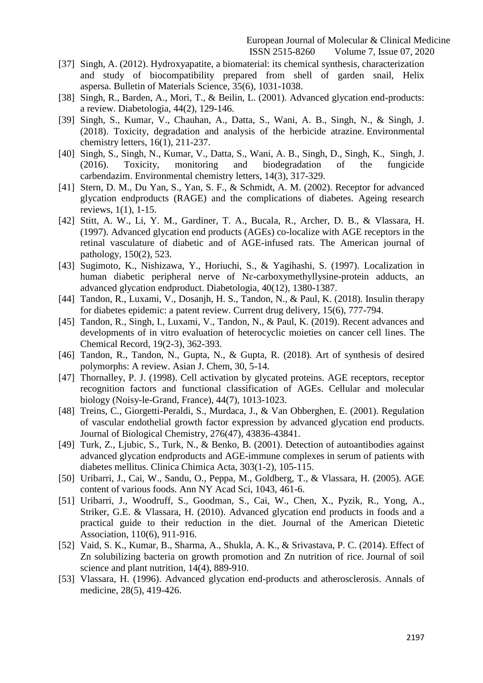- [37] Singh, A. (2012). Hydroxyapatite, a biomaterial: its chemical synthesis, characterization and study of biocompatibility prepared from shell of garden snail, Helix aspersa. Bulletin of Materials Science, 35(6), 1031-1038.
- [38] Singh, R., Barden, A., Mori, T., & Beilin, L. (2001). Advanced glycation end-products: a review. Diabetologia, 44(2), 129-146.
- [39] Singh, S., Kumar, V., Chauhan, A., Datta, S., Wani, A. B., Singh, N., & Singh, J. (2018). Toxicity, degradation and analysis of the herbicide atrazine. Environmental chemistry letters, 16(1), 211-237.
- [40] Singh, S., Singh, N., Kumar, V., Datta, S., Wani, A. B., Singh, D., Singh, K., Singh, J. (2016). Toxicity, monitoring and biodegradation of the fungicide carbendazim. Environmental chemistry letters, 14(3), 317-329.
- [41] Stern, D. M., Du Yan, S., Yan, S. F., & Schmidt, A. M. (2002). Receptor for advanced glycation endproducts (RAGE) and the complications of diabetes. Ageing research reviews, 1(1), 1-15.
- [42] Stitt, A. W., Li, Y. M., Gardiner, T. A., Bucala, R., Archer, D. B., & Vlassara, H. (1997). Advanced glycation end products (AGEs) co-localize with AGE receptors in the retinal vasculature of diabetic and of AGE-infused rats. The American journal of pathology, 150(2), 523.
- [43] Sugimoto, K., Nishizawa, Y., Horiuchi, S., & Yagihashi, S. (1997). Localization in human diabetic peripheral nerve of Nɛ-carboxymethyllysine-protein adducts, an advanced glycation endproduct. Diabetologia, 40(12), 1380-1387.
- [44] Tandon, R., Luxami, V., Dosanjh, H. S., Tandon, N., & Paul, K. (2018). Insulin therapy for diabetes epidemic: a patent review. Current drug delivery, 15(6), 777-794.
- [45] Tandon, R., Singh, I., Luxami, V., Tandon, N., & Paul, K. (2019). Recent advances and developments of in vitro evaluation of heterocyclic moieties on cancer cell lines. The Chemical Record, 19(2-3), 362-393.
- [46] Tandon, R., Tandon, N., Gupta, N., & Gupta, R. (2018). Art of synthesis of desired polymorphs: A review. Asian J. Chem, 30, 5-14.
- [47] Thornalley, P. J. (1998). Cell activation by glycated proteins. AGE receptors, receptor recognition factors and functional classification of AGEs. Cellular and molecular biology (Noisy-le-Grand, France), 44(7), 1013-1023.
- [48] Treins, C., Giorgetti-Peraldi, S., Murdaca, J., & Van Obberghen, E. (2001). Regulation of vascular endothelial growth factor expression by advanced glycation end products. Journal of Biological Chemistry, 276(47), 43836-43841.
- [49] Turk, Z., Ljubic, S., Turk, N., & Benko, B. (2001). Detection of autoantibodies against advanced glycation endproducts and AGE-immune complexes in serum of patients with diabetes mellitus. Clinica Chimica Acta, 303(1-2), 105-115.
- [50] Uribarri, J., Cai, W., Sandu, O., Peppa, M., Goldberg, T., & Vlassara, H. (2005). AGE content of various foods. Ann NY Acad Sci, 1043, 461-6.
- [51] Uribarri, J., Woodruff, S., Goodman, S., Cai, W., Chen, X., Pyzik, R., Yong, A., Striker, G.E. & Vlassara, H. (2010). Advanced glycation end products in foods and a practical guide to their reduction in the diet. Journal of the American Dietetic Association, 110(6), 911-916.
- [52] Vaid, S. K., Kumar, B., Sharma, A., Shukla, A. K., & Srivastava, P. C. (2014). Effect of Zn solubilizing bacteria on growth promotion and Zn nutrition of rice. Journal of soil science and plant nutrition, 14(4), 889-910.
- [53] Vlassara, H. (1996). Advanced glycation end-products and atherosclerosis. Annals of medicine, 28(5), 419-426.